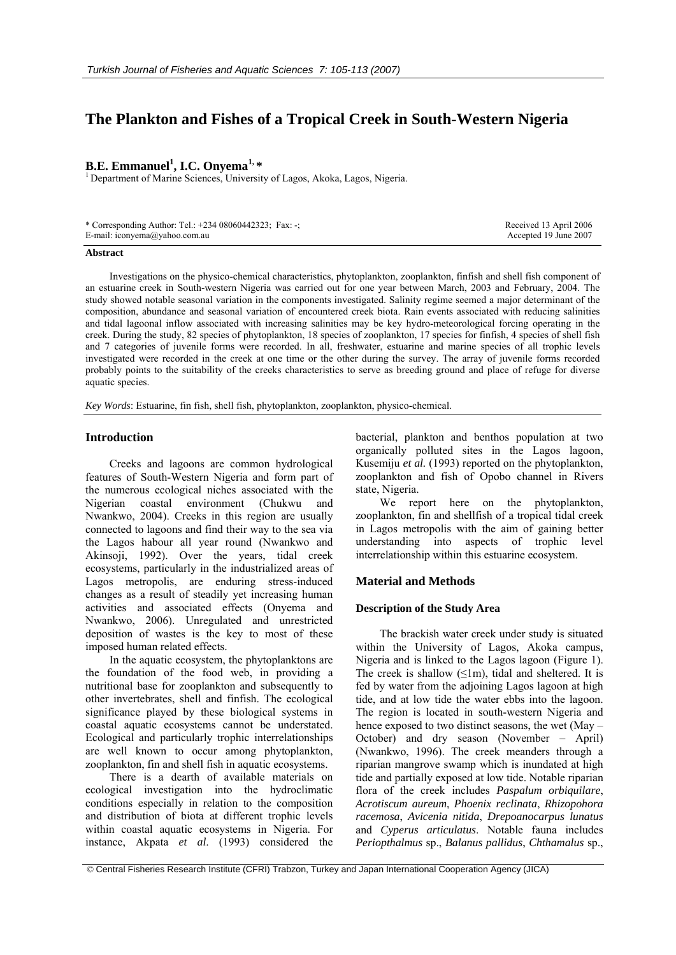# **The Plankton and Fishes of a Tropical Creek in South-Western Nigeria**

## **B.E. Emmanuel<sup>1</sup>, I.C. Onyema<sup>1,\*</sup>**

<sup>1</sup> Department of Marine Sciences, University of Lagos, Akoka, Lagos, Nigeria.

| * Corresponding Author: Tel.: $+23408060442323$ ; Fax: -; | Received 13 April 2006 |
|-----------------------------------------------------------|------------------------|
| E-mail: iconyema@yahoo.com.au                             | Accepted 19 June 2007  |

#### **Abstract**

Investigations on the physico-chemical characteristics, phytoplankton, zooplankton, finfish and shell fish component of an estuarine creek in South-western Nigeria was carried out for one year between March, 2003 and February, 2004. The study showed notable seasonal variation in the components investigated. Salinity regime seemed a major determinant of the composition, abundance and seasonal variation of encountered creek biota. Rain events associated with reducing salinities and tidal lagoonal inflow associated with increasing salinities may be key hydro-meteorological forcing operating in the creek. During the study, 82 species of phytoplankton, 18 species of zooplankton, 17 species for finfish, 4 species of shell fish and 7 categories of juvenile forms were recorded. In all, freshwater, estuarine and marine species of all trophic levels investigated were recorded in the creek at one time or the other during the survey. The array of juvenile forms recorded probably points to the suitability of the creeks characteristics to serve as breeding ground and place of refuge for diverse aquatic species.

*Key Words*: Estuarine, fin fish, shell fish, phytoplankton, zooplankton, physico-chemical.

## **Introduction**

Creeks and lagoons are common hydrological features of South-Western Nigeria and form part of the numerous ecological niches associated with the Nigerian coastal environment (Chukwu and Nwankwo, 2004). Creeks in this region are usually connected to lagoons and find their way to the sea via the Lagos habour all year round (Nwankwo and Akinsoji, 1992). Over the years, tidal creek ecosystems, particularly in the industrialized areas of Lagos metropolis, are enduring stress-induced changes as a result of steadily yet increasing human activities and associated effects (Onyema and Nwankwo, 2006). Unregulated and unrestricted deposition of wastes is the key to most of these imposed human related effects.

In the aquatic ecosystem, the phytoplanktons are the foundation of the food web, in providing a nutritional base for zooplankton and subsequently to other invertebrates, shell and finfish. The ecological significance played by these biological systems in coastal aquatic ecosystems cannot be understated. Ecological and particularly trophic interrelationships are well known to occur among phytoplankton, zooplankton, fin and shell fish in aquatic ecosystems.

There is a dearth of available materials on ecological investigation into the hydroclimatic conditions especially in relation to the composition and distribution of biota at different trophic levels within coastal aquatic ecosystems in Nigeria. For instance, Akpata *et al*. (1993) considered the bacterial, plankton and benthos population at two organically polluted sites in the Lagos lagoon, Kusemiju *et al.* (1993) reported on the phytoplankton, zooplankton and fish of Opobo channel in Rivers state, Nigeria.

We report here on the phytoplankton, zooplankton, fin and shellfish of a tropical tidal creek in Lagos metropolis with the aim of gaining better understanding into aspects of trophic level interrelationship within this estuarine ecosystem.

## **Material and Methods**

## **Description of the Study Area**

The brackish water creek under study is situated within the University of Lagos, Akoka campus, Nigeria and is linked to the Lagos lagoon (Figure 1). The creek is shallow  $(\leq 1m)$ , tidal and sheltered. It is fed by water from the adjoining Lagos lagoon at high tide, and at low tide the water ebbs into the lagoon. The region is located in south-western Nigeria and hence exposed to two distinct seasons, the wet (May – October) and dry season (November – April) (Nwankwo, 1996). The creek meanders through a riparian mangrove swamp which is inundated at high tide and partially exposed at low tide. Notable riparian flora of the creek includes *Paspalum orbiquilare*, *Acrotiscum aureum*, *Phoenix reclinata*, *Rhizopohora racemosa*, *Avicenia nitida*, *Drepoanocarpus lunatus* and *Cyperus articulatus*. Notable fauna includes *Periopthalmus* sp., *Balanus pallidus*, *Chthamalus* sp.,

 <sup>©</sup> Central Fisheries Research Institute (CFRI) Trabzon, Turkey and Japan International Cooperation Agency (JICA)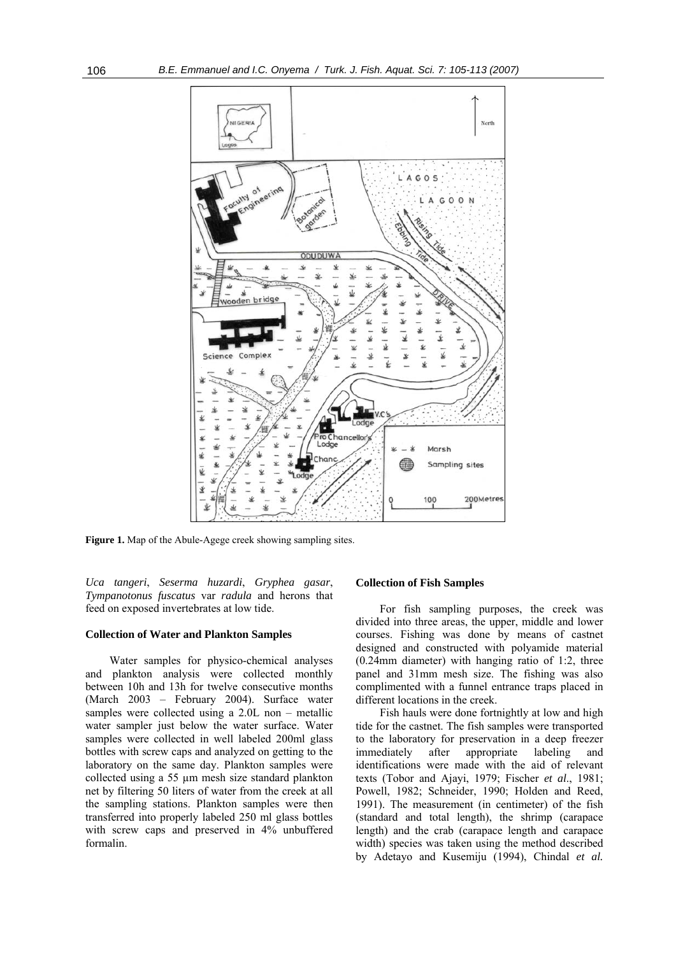

**Figure 1.** Map of the Abule-Agege creek showing sampling sites.

*Uca tangeri*, *Seserma huzardi*, *Gryphea gasar*, *Tympanotonus fuscatus* var *radula* and herons that feed on exposed invertebrates at low tide.

#### **Collection of Water and Plankton Samples**

Water samples for physico-chemical analyses and plankton analysis were collected monthly between 10h and 13h for twelve consecutive months (March 2003 – February 2004). Surface water samples were collected using a 2.0L non – metallic water sampler just below the water surface. Water samples were collected in well labeled 200ml glass bottles with screw caps and analyzed on getting to the laboratory on the same day. Plankton samples were collected using a 55 µm mesh size standard plankton net by filtering 50 liters of water from the creek at all the sampling stations. Plankton samples were then transferred into properly labeled 250 ml glass bottles with screw caps and preserved in 4% unbuffered formalin.

## **Collection of Fish Samples**

For fish sampling purposes, the creek was divided into three areas, the upper, middle and lower courses. Fishing was done by means of castnet designed and constructed with polyamide material (0.24mm diameter) with hanging ratio of 1:2, three panel and 31mm mesh size. The fishing was also complimented with a funnel entrance traps placed in different locations in the creek.

Fish hauls were done fortnightly at low and high tide for the castnet. The fish samples were transported to the laboratory for preservation in a deep freezer immediately after appropriate labeling and identifications were made with the aid of relevant texts (Tobor and Ajayi, 1979; Fischer *et al*., 1981; Powell, 1982; Schneider, 1990; Holden and Reed, 1991). The measurement (in centimeter) of the fish (standard and total length), the shrimp (carapace length) and the crab (carapace length and carapace width) species was taken using the method described by Adetayo and Kusemiju (1994), Chindal *et al.*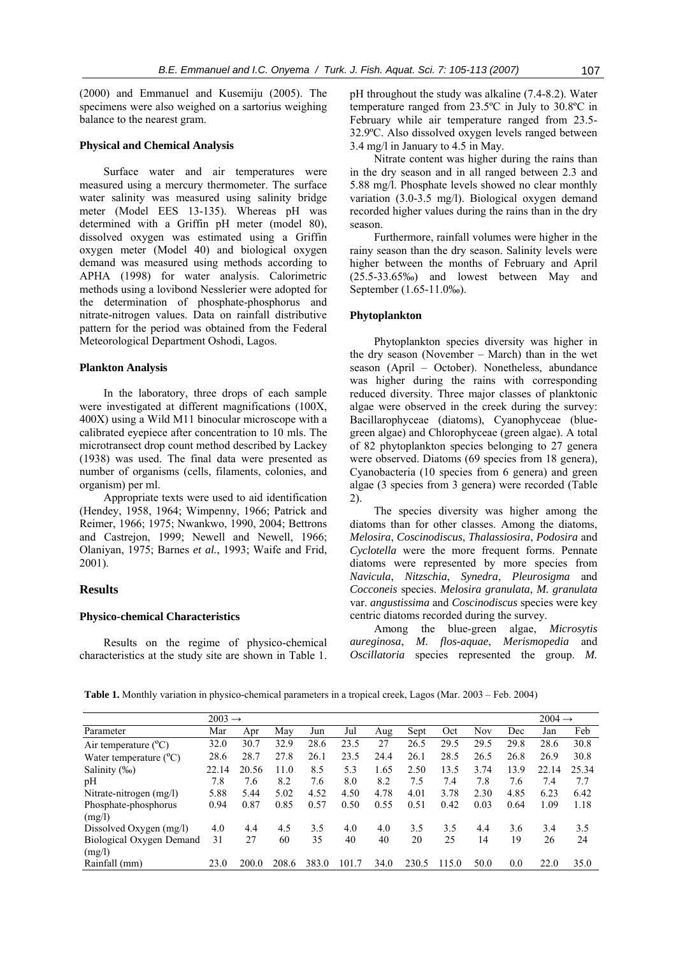(2000) and Emmanuel and Kusemiju (2005). The specimens were also weighed on a sartorius weighing balance to the nearest gram.

## **Physical and Chemical Analysis**

Surface water and air temperatures were measured using a mercury thermometer. The surface water salinity was measured using salinity bridge meter (Model EES 13-135). Whereas pH was determined with a Griffin pH meter (model 80), dissolved oxygen was estimated using a Griffin oxygen meter (Model 40) and biological oxygen demand was measured using methods according to APHA (1998) for water analysis. Calorimetric methods using a lovibond Nesslerier were adopted for the determination of phosphate-phosphorus and nitrate-nitrogen values. Data on rainfall distributive pattern for the period was obtained from the Federal Meteorological Department Oshodi, Lagos.

#### **Plankton Analysis**

In the laboratory, three drops of each sample were investigated at different magnifications (100X, 400X) using a Wild M11 binocular microscope with a calibrated eyepiece after concentration to 10 mls. The microtransect drop count method described by Lackey (1938) was used. The final data were presented as number of organisms (cells, filaments, colonies, and organism) per ml.

Appropriate texts were used to aid identification (Hendey, 1958, 1964; Wimpenny, 1966; Patrick and Reimer, 1966; 1975; Nwankwo, 1990, 2004; Bettrons and Castrejon, 1999; Newell and Newell, 1966; Olaniyan, 1975; Barnes *et al.*, 1993; Waife and Frid, 2001).

## **Results**

#### **Physico-chemical Characteristics**

Results on the regime of physico-chemical characteristics at the study site are shown in Table 1. pH throughout the study was alkaline (7.4-8.2). Water temperature ranged from 23.5ºC in July to 30.8ºC in February while air temperature ranged from 23.5- 32.9ºC. Also dissolved oxygen levels ranged between 3.4 mg/l in January to 4.5 in May.

Nitrate content was higher during the rains than in the dry season and in all ranged between 2.3 and 5.88 mg/l. Phosphate levels showed no clear monthly variation (3.0-3.5 mg/l). Biological oxygen demand recorded higher values during the rains than in the dry season.

Furthermore, rainfall volumes were higher in the rainy season than the dry season. Salinity levels were higher between the months of February and April (25.5-33.65‰) and lowest between May and September (1.65-11.0‰).

## **Phytoplankton**

Phytoplankton species diversity was higher in the dry season (November – March) than in the wet season (April – October). Nonetheless, abundance was higher during the rains with corresponding reduced diversity. Three major classes of planktonic algae were observed in the creek during the survey: Bacillarophyceae (diatoms), Cyanophyceae (bluegreen algae) and Chlorophyceae (green algae). A total of 82 phytoplankton species belonging to 27 genera were observed. Diatoms (69 species from 18 genera), Cyanobacteria (10 species from 6 genera) and green algae (3 species from 3 genera) were recorded (Table 2).

The species diversity was higher among the diatoms than for other classes. Among the diatoms, *Melosira*, *Coscinodiscus*, *Thalassiosira*, *Podosira* and *Cyclotella* were the more frequent forms. Pennate diatoms were represented by more species from *Navicula*, *Nitzschia*, *Synedra*, *Pleurosigma* and *Cocconeis* species. *Melosira granulata*, *M. granulata*  var. *angustissima* and *Coscinodiscus* species were key centric diatoms recorded during the survey.

Among the blue-green algae, *Microsytis aureginosa*, *M. flos-aquae*, *Merismopedia* and *Oscillatoria* species represented the group. *M.* 

**Table 1.** Monthly variation in physico-chemical parameters in a tropical creek, Lagos (Mar. 2003 – Feb. 2004)

|                                 | $2003 \rightarrow$ |       |       |       |       |      |       |       |      |      | $2004 \rightarrow$ |       |
|---------------------------------|--------------------|-------|-------|-------|-------|------|-------|-------|------|------|--------------------|-------|
| Parameter                       | Mar                | Apr   | May   | Jun   | Jul   | Aug  | Sept  | Oct   | Nov  | Dec  | Jan                | Feb   |
| Air temperature $(^{\circ}C)$   | 32.0               | 30.7  | 32.9  | 28.6  | 23.5  | 27   | 26.5  | 29.5  | 29.5 | 29.8 | 28.6               | 30.8  |
| Water temperature $(^{\circ}C)$ | 28.6               | 28.7  | 27.8  | 26.1  | 23.5  | 24.4 | 26.1  | 28.5  | 26.5 | 26.8 | 26.9               | 30.8  |
| Salinity (‰)                    | 22.14              | 20.56 | 11.0  | 8.5   | 5.3   | 1.65 | 2.50  | 13.5  | 3.74 | 13.9 | 22.14              | 25.34 |
| pH                              | 7.8                | 7.6   | 8.2   | 7.6   | 8.0   | 8.2  | 7.5   | 7.4   | 7.8  | 7.6  | 7.4                | 7.7   |
| Nitrate-nitrogen $(mg/l)$       | 5.88               | 5.44  | 5.02  | 4.52  | 4.50  | 4.78 | 4.01  | 3.78  | 2.30 | 4.85 | 6.23               | 6.42  |
| Phosphate-phosphorus            | 0.94               | 0.87  | 0.85  | 0.57  | 0.50  | 0.55 | 0.51  | 0.42  | 0.03 | 0.64 | 1.09               | 1.18  |
| (mg/l)                          |                    |       |       |       |       |      |       |       |      |      |                    |       |
| Dissolved Oxygen (mg/l)         | 4.0                | 4.4   | 4.5   | 3.5   | 4.0   | 4.0  | 3.5   | 3.5   | 4.4  | 3.6  | 3.4                | 3.5   |
| Biological Oxygen Demand        | 31                 | 27    | 60    | 35    | 40    | 40   | 20    | 25    | 14   | 19   | 26                 | 24    |
| (mg/l)                          |                    |       |       |       |       |      |       |       |      |      |                    |       |
| Rainfall (mm)                   | 23.0               | 200.0 | 208.6 | 383.0 | 101.7 | 34.0 | 230.5 | 115.0 | 50.0 | 0.0  | 22.0               | 35.0  |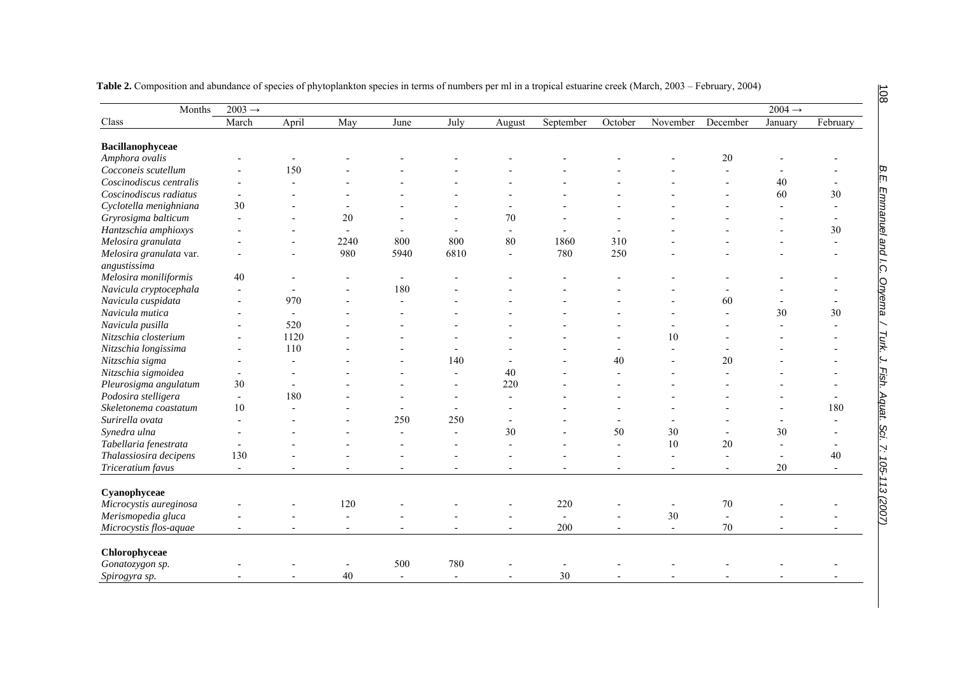| Months                                  | $2003 \rightarrow$       |                          |                          |                          |                          |                          |                          |                          |                          |                          | $2004 \rightarrow$ |                          |  |
|-----------------------------------------|--------------------------|--------------------------|--------------------------|--------------------------|--------------------------|--------------------------|--------------------------|--------------------------|--------------------------|--------------------------|--------------------|--------------------------|--|
| Class                                   | March                    | April                    | May                      | June                     | July                     | August                   | September                | October                  | November                 | December                 | January            | February                 |  |
| Bacillanophyceae                        |                          |                          |                          |                          |                          |                          |                          |                          |                          |                          |                    |                          |  |
| Amphora ovalis                          |                          |                          |                          |                          |                          |                          |                          |                          |                          | 20                       |                    |                          |  |
| Cocconeis scutellum                     |                          | 150                      |                          |                          |                          |                          |                          |                          |                          |                          |                    |                          |  |
| Coscinodiscus centralis                 |                          |                          |                          |                          |                          |                          |                          |                          |                          |                          | 40                 |                          |  |
| Coscinodiscus radiatus                  |                          |                          |                          |                          |                          |                          |                          |                          |                          |                          | 60                 | 30                       |  |
| Cyclotella menighniana                  | 30                       |                          |                          |                          |                          |                          |                          |                          |                          |                          | $\blacksquare$     |                          |  |
| Gryrosigma balticum                     |                          |                          | 20                       |                          |                          | 70                       |                          |                          |                          |                          |                    |                          |  |
| Hantzschia amphioxys                    |                          |                          | $\overline{a}$           |                          |                          |                          |                          |                          |                          |                          |                    | 30                       |  |
| Melosira granulata                      |                          |                          | 2240                     | 800                      | 800                      | 80                       | 1860                     | 310                      |                          |                          |                    | $\overline{\phantom{a}}$ |  |
| Melosira granulata var.<br>angustissima |                          |                          | 980                      | 5940                     | 6810                     | $\overline{\phantom{a}}$ | 780                      | 250                      |                          |                          |                    |                          |  |
| Melosira moniliformis                   | 40                       |                          |                          | $\blacksquare$           |                          |                          |                          |                          |                          |                          |                    |                          |  |
| Navicula cryptocephala                  |                          |                          |                          | 180                      |                          |                          |                          |                          |                          |                          |                    |                          |  |
| Navicula cuspidata                      |                          | 970                      |                          |                          |                          |                          |                          |                          |                          | 60                       |                    |                          |  |
| Navicula mutica                         |                          | $\overline{\phantom{a}}$ |                          |                          |                          |                          |                          |                          |                          | $\overline{a}$           | 30                 | 30                       |  |
| Navicula pusilla                        |                          | 520                      |                          |                          |                          |                          |                          |                          |                          |                          |                    |                          |  |
| Nitzschia closterium                    |                          | 1120                     |                          |                          |                          |                          |                          |                          | 10                       |                          |                    |                          |  |
| Nitzschia longissima                    |                          | 110                      |                          |                          | $\blacksquare$           |                          |                          |                          |                          |                          |                    |                          |  |
| Nitzschia sigma                         |                          | $\overline{\phantom{a}}$ |                          |                          | 140                      |                          |                          | 40                       |                          | 20                       |                    |                          |  |
| Nitzschia sigmoidea                     |                          |                          |                          |                          | $\blacksquare$           | 40                       |                          |                          |                          |                          |                    |                          |  |
| Pleurosigma angulatum                   | 30                       |                          |                          |                          |                          | 220                      |                          |                          |                          |                          |                    |                          |  |
| Podosira stelligera                     | $\overline{\phantom{a}}$ | 180                      |                          |                          | $\overline{\phantom{a}}$ | $\overline{\phantom{a}}$ |                          |                          |                          |                          |                    |                          |  |
| Skeletonema coastatum                   | 10                       |                          |                          |                          | $\blacksquare$           |                          |                          |                          |                          |                          |                    | 180                      |  |
| Surirella ovata                         |                          |                          |                          | 250                      | 250                      |                          |                          | $\blacksquare$           |                          |                          |                    |                          |  |
| Synedra ulna                            |                          |                          |                          |                          |                          | 30                       |                          | 50                       | 30                       |                          | 30                 |                          |  |
| Tabellaria fenestrata                   |                          |                          |                          |                          |                          |                          |                          |                          | 10                       | 20                       | ÷,                 |                          |  |
| Thalassiosira decipens                  | 130                      |                          |                          |                          |                          |                          |                          |                          | $\overline{a}$           | $\overline{a}$           | $\blacksquare$     | 40                       |  |
| Triceratium favus                       | $\overline{\phantom{a}}$ | $\overline{\phantom{a}}$ | $\overline{\phantom{a}}$ | $\overline{\phantom{a}}$ | $\overline{\phantom{a}}$ | $\overline{\phantom{a}}$ | $\overline{\phantom{a}}$ | $\overline{\phantom{a}}$ | $\overline{\phantom{a}}$ | $\overline{\phantom{a}}$ | 20                 | $\overline{\phantom{a}}$ |  |
| Cyanophyceae                            |                          |                          |                          |                          |                          |                          |                          |                          |                          |                          |                    |                          |  |
| Microcystis aureginosa                  |                          |                          | 120                      |                          |                          |                          | 220                      |                          | $\overline{a}$           | 70                       |                    |                          |  |
| Merismopedia gluca                      |                          |                          | $\overline{a}$           |                          |                          |                          | $\blacksquare$           |                          | 30                       | $\sim$                   |                    |                          |  |
| Microcystis flos-aquae                  | $\blacksquare$           | $\overline{\phantom{a}}$ | $\overline{\phantom{a}}$ | $\overline{\phantom{a}}$ |                          | $\overline{a}$           | 200                      | $\overline{a}$           | $\overline{\phantom{a}}$ | 70                       |                    | $\overline{\phantom{a}}$ |  |
| Chlorophyceae                           |                          |                          |                          |                          |                          |                          |                          |                          |                          |                          |                    |                          |  |
| Gonatozygon sp.                         |                          |                          |                          | 500                      | 780                      |                          |                          |                          |                          |                          |                    |                          |  |
| Spirogyra sp.                           |                          |                          | 40                       | $\blacksquare$           | $\blacksquare$           |                          | 30                       |                          |                          |                          |                    |                          |  |

108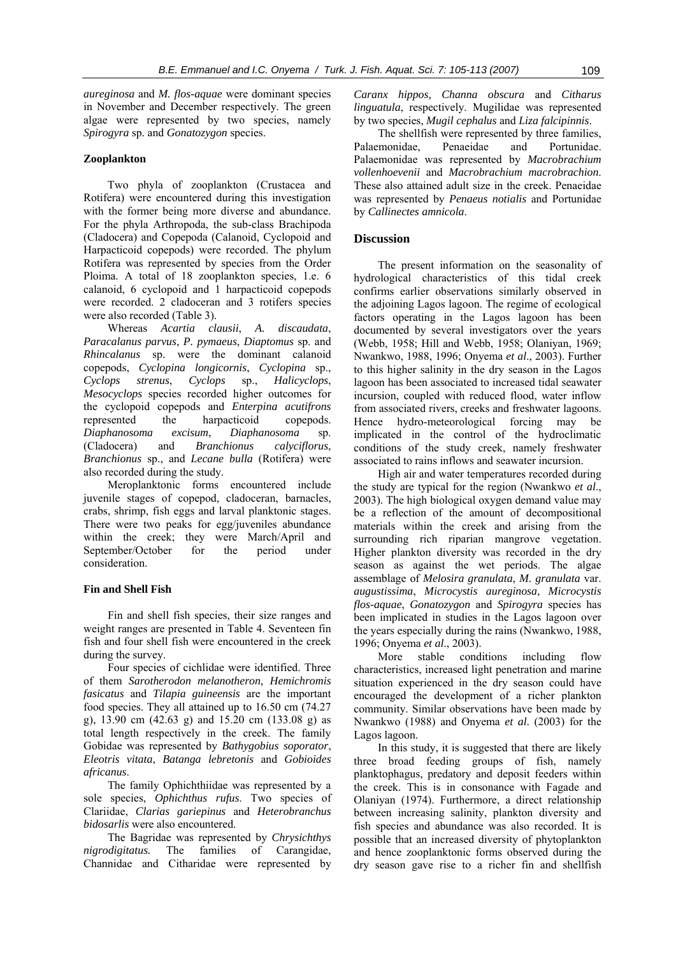*aureginosa* and *M. flos-aquae* were dominant species in November and December respectively. The green algae were represented by two species, namely *Spirogyra* sp. and *Gonatozygon* species.

## **Zooplankton**

Two phyla of zooplankton (Crustacea and Rotifera) were encountered during this investigation with the former being more diverse and abundance. For the phyla Arthropoda, the sub-class Brachipoda (Cladocera) and Copepoda (Calanoid, Cyclopoid and Harpacticoid copepods) were recorded. The phylum Rotifera was represented by species from the Order Ploima. A total of 18 zooplankton species, 1.e. 6 calanoid, 6 cyclopoid and 1 harpacticoid copepods were recorded. 2 cladoceran and 3 rotifers species were also recorded (Table 3).

Whereas *Acartia clausii*, *A. discaudata*, *Paracalanus parvus*, *P. pymaeus*, *Diaptomus* sp. and *Rhincalanus* sp. were the dominant calanoid copepods, *Cyclopina longicornis*, *Cyclopina* sp., *Cyclops strenus*, *Cyclops* sp., *Halicyclops*, *Mesocyclops* species recorded higher outcomes for the cyclopoid copepods and *Enterpina acutifrons* represented the harpacticoid copepods. *Diaphanosoma excisum*, *Diaphanosoma* sp. (Cladocera) and *Branchionus calyciflorus*, *Branchionus* sp., and *Lecane bulla* (Rotifera) were also recorded during the study.

Meroplanktonic forms encountered include juvenile stages of copepod, cladoceran, barnacles, crabs, shrimp, fish eggs and larval planktonic stages. There were two peaks for egg/juveniles abundance within the creek; they were March/April and September/October for the period under consideration.

## **Fin and Shell Fish**

Fin and shell fish species, their size ranges and weight ranges are presented in Table 4. Seventeen fin fish and four shell fish were encountered in the creek during the survey.

Four species of cichlidae were identified. Three of them *Sarotherodon melanotheron*, *Hemichromis fasicatus* and *Tilapia guineensis* are the important food species. They all attained up to 16.50 cm (74.27 g), 13.90 cm (42.63 g) and 15.20 cm (133.08 g) as total length respectively in the creek. The family Gobidae was represented by *Bathygobius soporator*, *Eleotris vitata*, *Batanga lebretonis* and *Gobioides africanus*.

The family Ophichthiidae was represented by a sole species, *Ophichthus rufus*. Two species of Clariidae, *Clarias gariepinus* and *Heterobranchus bidosarlis* were also encountered.

The Bagridae was represented by *Chrysichthys nigrodigitatus.* The families of Carangidae, Channidae and Citharidae were represented by *Caranx hippos, Channa obscura* and *Citharus linguatula*, respectively. Mugilidae was represented by two species, *Mugil cephalus* and *Liza falcipinnis*.

The shellfish were represented by three families, Palaemonidae, Penaeidae and Portunidae. Palaemonidae was represented by *Macrobrachium vollenhoevenii* and *Macrobrachium macrobrachion*. These also attained adult size in the creek. Penaeidae was represented by *Penaeus notialis* and Portunidae by *Callinectes amnicola*.

## **Discussion**

The present information on the seasonality of hydrological characteristics of this tidal creek confirms earlier observations similarly observed in the adjoining Lagos lagoon. The regime of ecological factors operating in the Lagos lagoon has been documented by several investigators over the years (Webb, 1958; Hill and Webb, 1958; Olaniyan, 1969; Nwankwo, 1988, 1996; Onyema *et al*., 2003). Further to this higher salinity in the dry season in the Lagos lagoon has been associated to increased tidal seawater incursion, coupled with reduced flood, water inflow from associated rivers, creeks and freshwater lagoons. Hence hydro-meteorological forcing may be implicated in the control of the hydroclimatic conditions of the study creek, namely freshwater associated to rains inflows and seawater incursion.

High air and water temperatures recorded during the study are typical for the region (Nwankwo *et al*., 2003). The high biological oxygen demand value may be a reflection of the amount of decompositional materials within the creek and arising from the surrounding rich riparian mangrove vegetation. Higher plankton diversity was recorded in the dry season as against the wet periods. The algae assemblage of *Melosira granulata*, *M. granulata* var. *augustissima*, *Microcystis aureginosa*, *Microcystis flos-aquae*, *Gonatozygon* and *Spirogyra* species has been implicated in studies in the Lagos lagoon over the years especially during the rains (Nwankwo, 1988, 1996; Onyema *et al*., 2003).

More stable conditions including flow characteristics, increased light penetration and marine situation experienced in the dry season could have encouraged the development of a richer plankton community. Similar observations have been made by Nwankwo (1988) and Onyema *et al*. (2003) for the Lagos lagoon.

In this study, it is suggested that there are likely three broad feeding groups of fish, namely planktophagus, predatory and deposit feeders within the creek. This is in consonance with Fagade and Olaniyan (1974). Furthermore, a direct relationship between increasing salinity, plankton diversity and fish species and abundance was also recorded. It is possible that an increased diversity of phytoplankton and hence zooplanktonic forms observed during the dry season gave rise to a richer fin and shellfish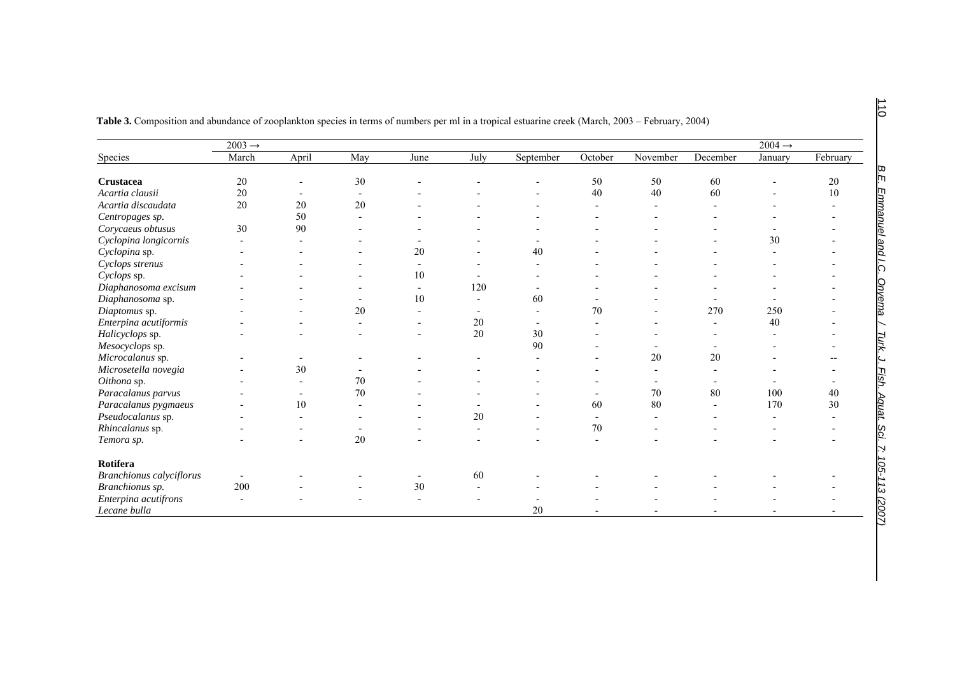|                          | $2003 \rightarrow$ |       |     |      |        |           |                |          |          |         |          |
|--------------------------|--------------------|-------|-----|------|--------|-----------|----------------|----------|----------|---------|----------|
| Species                  | March              | April | May | June | July   | September | October        | November | December | January | February |
| Crustacea                | 20                 |       | 30  |      |        |           | 50             | 50       | 60       |         | 20       |
| Acartia clausii          | 20                 |       |     |      |        |           | 40             | 40       | 60       |         | $10\,$   |
| Acartia discaudata       | 20                 | 20    | 20  |      |        |           |                |          |          |         |          |
| Centropages sp.          |                    | 50    |     |      |        |           |                |          |          |         |          |
| Corycaeus obtusus        | 30                 | 90    |     |      |        |           |                |          |          |         |          |
| Cyclopina longicornis    |                    |       |     |      |        |           |                |          |          | 30      |          |
| Cyclopina sp.            |                    |       |     | 20   |        | 40        |                |          |          |         |          |
| Cyclops strenus          |                    |       |     |      |        |           |                |          |          |         |          |
| Cyclops sp.              |                    |       |     | 10   |        |           |                |          |          |         |          |
| Diaphanosoma excisum     |                    |       |     |      | 120    |           |                |          |          |         |          |
| Diaphanosoma sp.         |                    |       |     | 10   |        | 60        |                |          |          |         |          |
| Diaptomus sp.            |                    |       | 20  |      |        |           | 70             |          | 270      | 250     |          |
| Enterpina acutiformis    |                    |       |     |      | 20     |           |                |          |          | 40      |          |
| Halicyclops sp.          |                    |       |     |      | $20\,$ | 30        |                |          |          |         |          |
| Mesocyclops sp.          |                    |       |     |      |        | 90        |                |          |          |         |          |
| Microcalanus sp.         |                    |       |     |      |        |           |                | 20       | 20       |         |          |
| Microsetella novegia     |                    | 30    |     |      |        |           |                |          |          |         |          |
| Oithona sp.              |                    |       | 70  |      |        |           |                |          |          |         |          |
| Paracalanus parvus       |                    |       | 70  |      |        |           |                | 70       | 80       | 100     | 40       |
| Paracalanus pygmaeus     |                    | 10    |     |      |        |           | 60             | 80       |          | 170     | 30       |
| Pseudocalanus sp.        |                    |       |     |      | $20\,$ |           | $\blacksquare$ |          |          |         |          |
| Rhincalanus sp.          |                    |       |     |      |        |           | 70             |          |          |         |          |
| Temora sp.               |                    |       | 20  |      |        |           |                |          |          |         |          |
| Rotifera                 |                    |       |     |      |        |           |                |          |          |         |          |
| Branchionus calyciflorus |                    |       |     |      | 60     |           |                |          |          |         |          |
| Branchionus sp.          | 200                |       |     | 30   |        |           |                |          |          |         |          |
| Enterpina acutifrons     |                    |       |     |      |        |           |                |          |          |         |          |
| Lecane bulla             |                    |       |     |      |        | 20        |                |          |          |         |          |

| <b>Table 3.</b> Composition and abundance of zooplankton species in terms of numbers per ml in a tropical estuarine creek (March, 2003 – February, 2004) |  |  |
|----------------------------------------------------------------------------------------------------------------------------------------------------------|--|--|
|----------------------------------------------------------------------------------------------------------------------------------------------------------|--|--|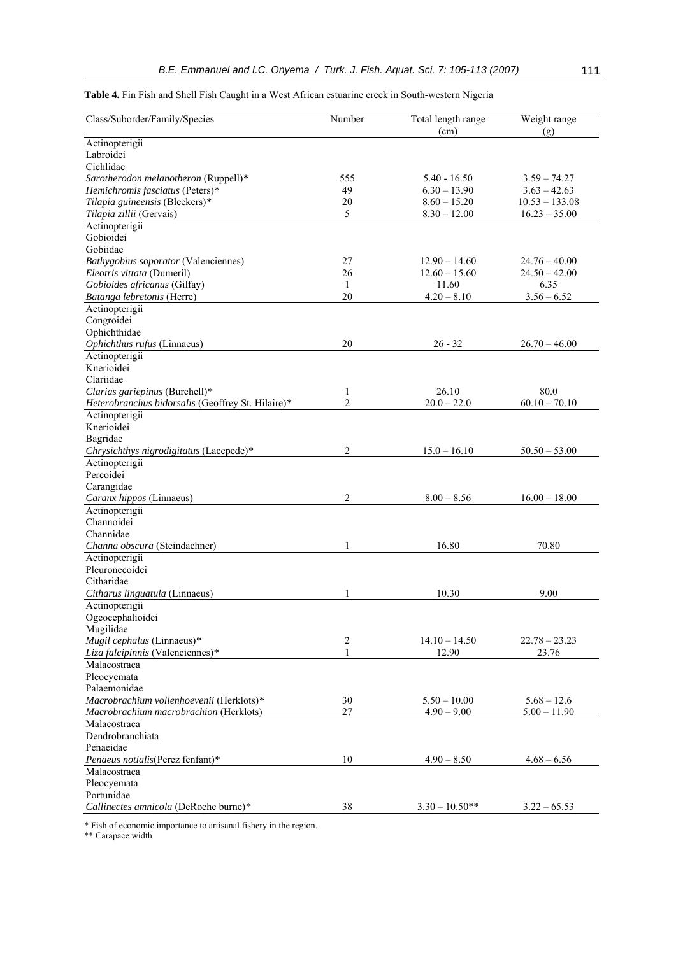|  |  |  |  | Table 4. Fin Fish and Shell Fish Caught in a West African estuarine creek in South-western Nigeria |  |
|--|--|--|--|----------------------------------------------------------------------------------------------------|--|
|--|--|--|--|----------------------------------------------------------------------------------------------------|--|

| Class/Suborder/Family/Species                     | Number                  | Total length range<br>(cm) | Weight range<br>(g) |
|---------------------------------------------------|-------------------------|----------------------------|---------------------|
| Actinopterigii<br>Labroidei                       |                         |                            |                     |
| Cichlidae                                         |                         |                            |                     |
| Sarotherodon melanotheron (Ruppell)*              | 555                     | $5.40 - 16.50$             | $3.59 - 74.27$      |
| Hemichromis fasciatus (Peters)*                   | 49                      | $6.30 - 13.90$             | $3.63 - 42.63$      |
| Tilapia guineensis (Bleekers)*                    | 20                      | $8.60 - 15.20$             | $10.53 - 133.08$    |
| Tilapia zillii (Gervais)                          | 5                       | $8.30 - 12.00$             | $16.23 - 35.00$     |
| Actinopterigii                                    |                         |                            |                     |
| Gobioidei                                         |                         |                            |                     |
| Gobiidae                                          |                         |                            |                     |
| Bathygobius soporator (Valenciennes)              | 27                      | $12.90 - 14.60$            | $24.76 - 40.00$     |
| Eleotris vittata (Dumeril)                        | 26                      | $12.60 - 15.60$            | $24.50 - 42.00$     |
| Gobioides africanus (Gilfay)                      | $\mathbf{1}$            | 11.60                      | 6.35                |
| Batanga lebretonis (Herre)                        | 20                      | $4.20 - 8.10$              | $3.56 - 6.52$       |
| Actinopterigii<br>Congroidei                      |                         |                            |                     |
| Ophichthidae                                      |                         |                            |                     |
| Ophichthus rufus (Linnaeus)                       | 20                      | $26 - 32$                  | $26.70 - 46.00$     |
| Actinopterigii                                    |                         |                            |                     |
| Knerioidei                                        |                         |                            |                     |
| Clariidae                                         |                         |                            |                     |
| Clarias gariepinus (Burchell)*                    | 1                       | 26.10                      | 80.0                |
| Heterobranchus bidorsalis (Geoffrey St. Hilaire)* | 2                       | $20.0 - 22.0$              | $60.10 - 70.10$     |
| Actinopterigii                                    |                         |                            |                     |
| Knerioidei                                        |                         |                            |                     |
| Bagridae                                          |                         |                            |                     |
| Chrysichthys nigrodigitatus (Lacepede)*           | 2                       | $15.0 - 16.10$             | $50.50 - 53.00$     |
| Actinopterigii                                    |                         |                            |                     |
| Percoidei                                         |                         |                            |                     |
| Carangidae                                        |                         |                            |                     |
| Caranx hippos (Linnaeus)                          | 2                       | $8.00 - 8.56$              | $16.00 - 18.00$     |
| Actinopterigii                                    |                         |                            |                     |
| Channoidei                                        |                         |                            |                     |
| Channidae                                         |                         |                            |                     |
| Channa obscura (Steindachner)                     | 1                       | 16.80                      | 70.80               |
| Actinopterigii<br>Pleuronecoidei                  |                         |                            |                     |
| Citharidae                                        |                         |                            |                     |
| Citharus linguatula (Linnaeus)                    | 1                       | 10.30                      | 9.00                |
| Actinopterigii                                    |                         |                            |                     |
| Ogcocephalioidei                                  |                         |                            |                     |
| Mugilidae                                         |                         |                            |                     |
| Mugil cephalus (Linnaeus)*                        | $\overline{\mathbf{c}}$ | $14.10 - 14.50$            | $22.78 - 23.23$     |
| Liza falcipinnis (Valenciennes)*                  | $\mathbf{1}$            | 12.90                      | 23.76               |
| Malacostraca                                      |                         |                            |                     |
| Pleocyemata                                       |                         |                            |                     |
| Palaemonidae                                      |                         |                            |                     |
| Macrobrachium vollenhoevenii (Herklots)*          | 30                      | $5.50 - 10.00$             | $5.68 - 12.6$       |
| Macrobrachium macrobrachion (Herklots)            | 27                      | $4.90 - 9.00$              | $5.00 - 11.90$      |
| Malacostraca                                      |                         |                            |                     |
| Dendrobranchiata                                  |                         |                            |                     |
| Penaeidae                                         |                         |                            |                     |
| Penaeus notialis(Perez fenfant)*<br>Malacostraca  | 10                      | $4.90 - 8.50$              | $4.68 - 6.56$       |
| Pleocyemata                                       |                         |                            |                     |
| Portunidae                                        |                         |                            |                     |
| Callinectes amnicola (DeRoche burne)*             | 38                      | $3.30 - 10.50**$           | $3.22 - 65.53$      |
|                                                   |                         |                            |                     |

\* Fish of economic importance to artisanal fishery in the region.

\*\* Carapace width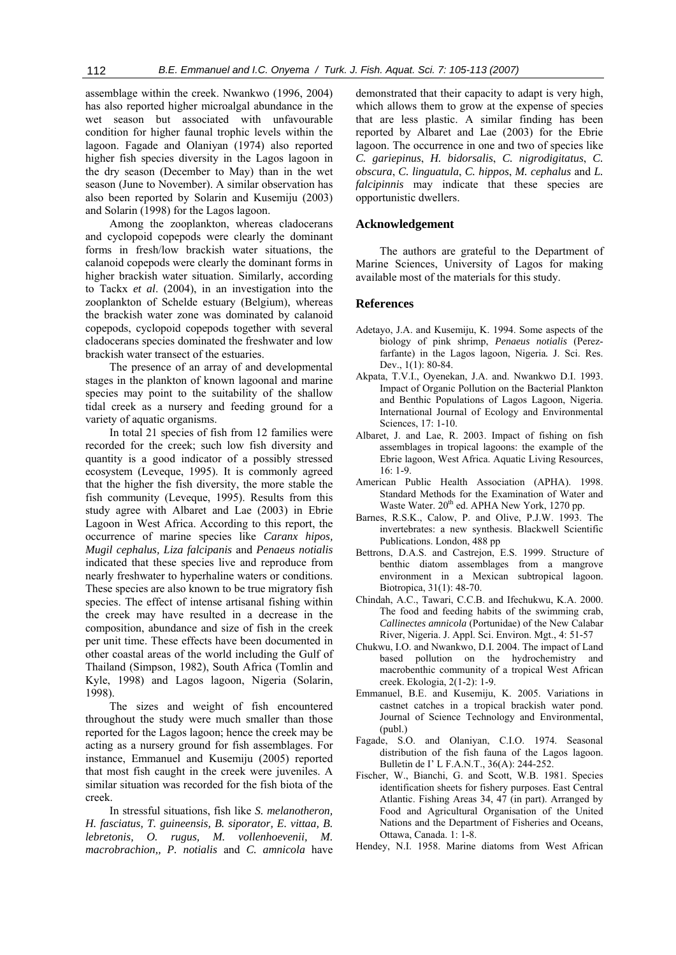assemblage within the creek. Nwankwo (1996, 2004) has also reported higher microalgal abundance in the wet season but associated with unfavourable condition for higher faunal trophic levels within the lagoon. Fagade and Olaniyan (1974) also reported higher fish species diversity in the Lagos lagoon in the dry season (December to May) than in the wet season (June to November). A similar observation has also been reported by Solarin and Kusemiju (2003) and Solarin (1998) for the Lagos lagoon.

Among the zooplankton, whereas cladocerans and cyclopoid copepods were clearly the dominant forms in fresh/low brackish water situations, the calanoid copepods were clearly the dominant forms in higher brackish water situation. Similarly, according to Tackx *et al*. (2004), in an investigation into the zooplankton of Schelde estuary (Belgium), whereas the brackish water zone was dominated by calanoid copepods, cyclopoid copepods together with several cladocerans species dominated the freshwater and low brackish water transect of the estuaries.

The presence of an array of and developmental stages in the plankton of known lagoonal and marine species may point to the suitability of the shallow tidal creek as a nursery and feeding ground for a variety of aquatic organisms.

In total 21 species of fish from 12 families were recorded for the creek; such low fish diversity and quantity is a good indicator of a possibly stressed ecosystem (Leveque, 1995). It is commonly agreed that the higher the fish diversity, the more stable the fish community (Leveque, 1995). Results from this study agree with Albaret and Lae (2003) in Ebrie Lagoon in West Africa. According to this report, the occurrence of marine species like *Caranx hipos, Mugil cephalus, Liza falcipanis* and *Penaeus notialis* indicated that these species live and reproduce from nearly freshwater to hyperhaline waters or conditions. These species are also known to be true migratory fish species. The effect of intense artisanal fishing within the creek may have resulted in a decrease in the composition, abundance and size of fish in the creek per unit time. These effects have been documented in other coastal areas of the world including the Gulf of Thailand (Simpson, 1982), South Africa (Tomlin and Kyle, 1998) and Lagos lagoon, Nigeria (Solarin, 1998).

The sizes and weight of fish encountered throughout the study were much smaller than those reported for the Lagos lagoon; hence the creek may be acting as a nursery ground for fish assemblages. For instance, Emmanuel and Kusemiju (2005) reported that most fish caught in the creek were juveniles. A similar situation was recorded for the fish biota of the creek.

In stressful situations, fish like *S. melanotheron, H. fasciatus, T. guineensis, B. siporator, E. vittaa, B. lebretonis, O. rugus, M. vollenhoevenii, M. macrobrachion,, P. notialis* and *C. amnicola* have

demonstrated that their capacity to adapt is very high, which allows them to grow at the expense of species that are less plastic. A similar finding has been reported by Albaret and Lae (2003) for the Ebrie lagoon. The occurrence in one and two of species like *C. gariepinus*, *H. bidorsalis*, *C. nigrodigitatus*, *C. obscura*, *C. linguatula*, *C. hippos*, *M. cephalus* and *L. falcipinnis* may indicate that these species are opportunistic dwellers.

## **Acknowledgement**

The authors are grateful to the Department of Marine Sciences, University of Lagos for making available most of the materials for this study.

#### **References**

- Adetayo, J.A. and Kusemiju, K. 1994. Some aspects of the biology of pink shrimp, *Penaeus notialis* (Perezfarfante) in the Lagos lagoon, Nigeria*.* J. Sci. Res. Dev., 1(1): 80-84.
- Akpata, T.V.I., Oyenekan, J.A. and. Nwankwo D.I. 1993. Impact of Organic Pollution on the Bacterial Plankton and Benthic Populations of Lagos Lagoon, Nigeria. International Journal of Ecology and Environmental Sciences, 17: 1-10.
- Albaret, J. and Lae, R. 2003. Impact of fishing on fish assemblages in tropical lagoons: the example of the Ebrie lagoon, West Africa. Aquatic Living Resources, 16: 1-9.
- American Public Health Association (APHA). 1998. Standard Methods for the Examination of Water and Waste Water.  $20^{th}$  ed. APHA New York, 1270 pp.
- Barnes, R.S.K., Calow, P. and Olive, P.J.W. 1993. The invertebrates: a new synthesis. Blackwell Scientific Publications. London, 488 pp
- Bettrons, D.A.S. and Castrejon, E.S. 1999. Structure of benthic diatom assemblages from a mangrove environment in a Mexican subtropical lagoon. Biotropica, 31(1): 48-70.
- Chindah, A.C., Tawari, C.C.B. and Ifechukwu, K.A. 2000. The food and feeding habits of the swimming crab, *Callinectes amnicola* (Portunidae) of the New Calabar River, Nigeria. J. Appl. Sci. Environ. Mgt., 4: 51-57
- Chukwu, I.O. and Nwankwo, D.I. 2004. The impact of Land based pollution on the hydrochemistry and macrobenthic community of a tropical West African creek. Ekologia, 2(1-2): 1-9.
- Emmanuel, B.E. and Kusemiju, K. 2005. Variations in castnet catches in a tropical brackish water pond. Journal of Science Technology and Environmental, (publ.)
- Fagade, S.O. and Olaniyan, C.I.O. 1974. Seasonal distribution of the fish fauna of the Lagos lagoon. Bulletin de I' L F.A.N.T., 36(A): 244-252.
- Fischer, W., Bianchi, G. and Scott, W.B. 1981. Species identification sheets for fishery purposes. East Central Atlantic. Fishing Areas 34, 47 (in part). Arranged by Food and Agricultural Organisation of the United Nations and the Department of Fisheries and Oceans, Ottawa, Canada. 1: 1-8.
- Hendey, N.I. 1958. Marine diatoms from West African